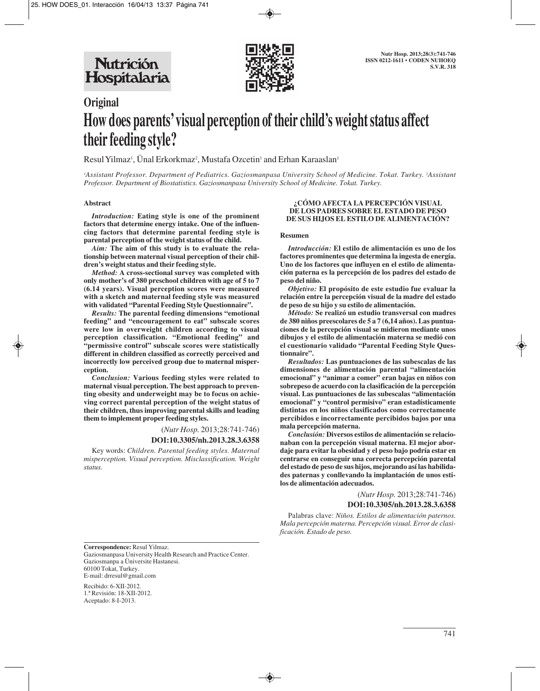

# **Original How does parents' visual perception of their child's weight status affect their feeding style?**

Resul Yilmaz', Unal Erkorkmaz<sup>2</sup>, Mustafa Ozcetin' and Erhan Karaaslan'

*1 Assistant Professor. Department of Pediatrics. Gaziosmanpasa University School of Medicine. Tokat. Turkey. 2 Assistant Professor. Department of Biostatistics. Gaziosmanpasa University School of Medicine. Tokat. Turkey.* 

#### **Abstract**

*Introduction:* **Eating style is one of the prominent factors that determine energy intake. One of the influencing factors that determine parental feeding style is parental perception of the weight status of the child.**

*Aim:* **The aim of this study is to evaluate the relationship between maternal visual perception of their children's weight status and their feeding style.** 

*Method:* **A cross-sectional survey was completed with only mother's of 380 preschool children with age of 5 to 7 (6.14 years). Visual perception scores were measured with a sketch and maternal feeding style was measured with validated "Parental Feeding Style Questionnaire".**

*Results:* **The parental feeding dimensions "emotional feeding" and "encouragement to eat" subscale scores were low in overweight children according to visual perception classification. "Emotional feeding" and "permissive control" subscale scores were statistically different in children classified as correctly perceived and incorrectly low perceived group due to maternal misperception.** 

*Conclusion:* **Various feeding styles were related to maternal visual perception. The best approach to preventing obesity and underweight may be to focus on achieving correct parental perception of the weight status of their children, thus improving parental skills and leading them to implement proper feeding styles.**

> (*Nutr Hosp.* 2013;28:741-746) **DOI:10.3305/nh.2013.28.3.6358**

Key words: *Children. Parental feeding styles. Maternal misperception. Visual perception. Misclassification. Weight status.*

#### **¿CÓMO AFECTA LA PERCEPCIÓN VISUAL DE LOS PADRES SOBRE EL ESTADO DE PESO DE SUS HIJOS EL ESTILO DE ALIMENTACIÓN?**

#### **Resumen**

*Introducción:* **El estilo de alimentación es uno de los factores prominentes que determina la ingesta de energía. Uno de los factores que influyen en el estilo de alimentación paterna es la percepción de los padres del estado de peso del niño.** 

*Objetivo:* **El propósito de este estudio fue evaluar la relación entre la percepción visual de la madre del estado de peso de su hijo y su estilo de alimentación.** 

*Método:* **Se realizó un estudio transversal con madres de 380 niños preescolares de 5 a 7 (6,14 años). Las puntuaciones de la percepción visual se midieron mediante unos dibujos y el estilo de alimentación materna se medió con el cuestionario validado "Parental Feeding Style Questionnaire".** 

*Resultados:* **Las puntuaciones de las subescalas de las dimensiones de alimentación parental "alimentación emocional" y "animar a comer" eran bajas en niños con sobrepeso de acuerdo con la clasificación de la percepción visual. Las puntuaciones de las subescalas "alimentación emocional" y "control permisivo" eran estadísticamente distintas en los niños clasificados como correctamente percibidos e incorrectamente percibidos bajos por una mala percepción materna.** 

*Conclusión:* **Diversos estilos de alimentación se relacionaban con la percepción visual materna. El mejor abordaje para evitar la obesidad y el peso bajo podría estar en centrarse en conseguir una correcta percepción parental del estado de peso de sus hijos, mejorando así las habilidades paternas y conllevando la implantación de unos estilos de alimentación adecuados.**

> (*Nutr Hosp.* 2013;28:741-746) **DOI:10.3305/nh.2013.28.3.6358**

Palabras clave: *Niños. Estilos de alimentación paternos. Mala percepción materna. Percepción visual. Error de clasificación. Estado de peso.*

**Correspondence:** Resul Yilmaz.

Gaziosmanpasa University Health Research and Practice Center. Gaziosmanpa a Üniversite Hastanesi. 60100 Tokat, Turkey. E-mail: drresul@gmail.com

Recibido: 6-XII-2012. 1.ª Revisión: 18-XII-2012. Aceptado: 8-I-2013.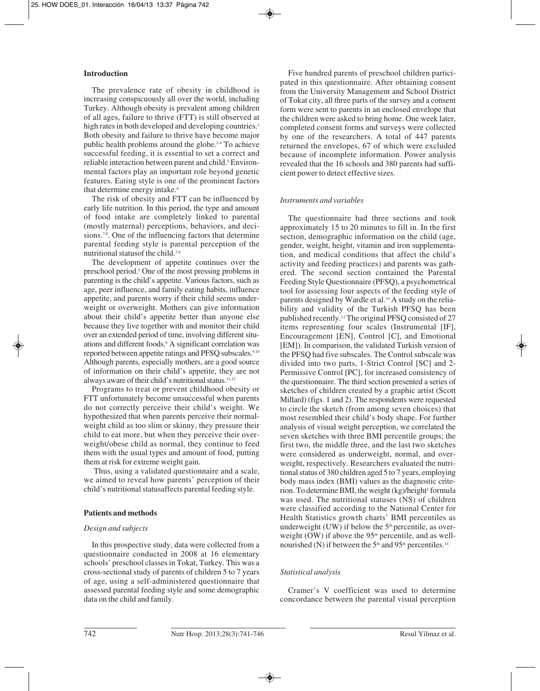# **Introduction**

The prevalence rate of obesity in childhood is increasing conspicuously all over the world, including Turkey. Although obesity is prevalent among children of all ages, failure to thrive (FTT) is still observed at high rates in both developed and developing countries.<sup>1</sup> Both obesity and failure to thrive have become major public health problems around the globe.2-4 To achieve successful feeding, it is essential to set a correct and reliable interaction between parent and child.<sup>5</sup> Environmental factors play an important role beyond genetic features. Eating style is one of the prominent factors that determine energy intake.<sup>6</sup>

The risk of obesity and FTT can be influenced by early life nutrition. In this period, the type and amount of food intake are completely linked to parental (mostly maternal) perceptions, behaviors, and decisions.<sup>7,8</sup>. One of the influencing factors that determine parental feeding style is parental perception of the nutritional statusof the child.7,8

The development of appetite continues over the preschool period.9 One of the most pressing problems in parenting is the child's appetite. Various factors, such as age, peer influence, and family eating habits, influence appetite, and parents worry if their child seems underweight or overweight. Mothers can give information about their child's appetite better than anyone else because they live together with and monitor their child over an extended period of time, involving different situations and different foods.9 A significant correlation was reported between appetite ratings and PFSQ subscales.<sup>9,10</sup> Although parents, especially mothers, are a good source of information on their child's appetite, they are not always aware of their child's nutritional status.<sup>11,12</sup>

Programs to treat or prevent childhood obesity or FTT unfortunately become unsuccessful when parents do not correctly perceive their child's weight. We hypothesized that when parents perceive their normalweight child as too slim or skinny, they pressure their child to eat more, but when they perceive their overweight/obese child as normal, they continue to feed them with the usual types and amount of food, putting them at risk for extreme weight gain.

Thus, using a validated questionnaire and a scale, we aimed to reveal how parents' perception of their child's nutritional statusaffects parental feeding style.

## **Patients and methods**

## *Design and subjects*

In this prospective study, data were collected from a questionnaire conducted in 2008 at 16 elementary schools' preschool classes in Tokat, Turkey. This was a cross-sectional study of parents of children 5 to 7 years of age, using a self-administered questionnaire that assessed parental feeding style and some demographic data on the child and family.

Five hundred parents of preschool children participated in this questionnaire. After obtaining consent from the University Management and School District of Tokat city, all three parts of the survey and a consent form were sent to parents in an enclosed envelope that the children were asked to bring home. One week later, completed consent forms and surveys were collected by one of the researchers. A total of 447 parents returned the envelopes, 67 of which were excluded because of incomplete information. Power analysis revealed that the 16 schools and 380 parents had sufficient power to detect effective sizes.

# *Instruments and variables*

The questionnaire had three sections and took approximately 15 to 20 minutes to fill in. In the first section, demographic information on the child (age, gender, weight, height, vitamin and iron supplementation, and medical conditions that affect the child's activity and feeding practices) and parents was gathered. The second section contained the Parental Feeding Style Questionnaire (PFSQ), a psychometrical tool for assessing four aspects of the feeding style of parents designed by Wardle et al.<sup>10</sup> A study on the reliability and validity of the Turkish PFSQ has been published recently.13 The original PFSQ consisted of 27 items representing four scales (Instrumental [IF], Encouragement [EN], Control [C], and Emotional [EM]). In comparison, the validated Turkish version of the PFSQ had five subscales. The Control subscale was divided into two parts, 1-Strict Control [SC] and 2- Permissive Control [PC], for increased consistency of the questionnaire. The third section presented a series of sketches of children created by a graphic artist (Scott Millard) (figs. 1 and 2). The respondents were requested to circle the sketch (from among seven choices) that most resembled their child's body shape. For further analysis of visual weight perception, we correlated the seven sketches with three BMI percentile groups; the first two, the middle three, and the last two sketches were considered as underweight, normal, and overweight, respectively. Researchers evaluated the nutritional status of 380 children aged 5 to 7 years, employing body mass index (BMI) values as the diagnostic criterion. To determine BMI, the weight (kg)/height<sup>2</sup> formula was used. The nutritional statuses (NS) of children were classified according to the National Center for Health Statistics growth charts' BMI percentiles as underweight (UW) if below the 5<sup>th</sup> percentile, as overweight (OW) if above the  $95<sup>th</sup>$  percentile, and as wellnourished (N) if between the  $5<sup>th</sup>$  and  $95<sup>th</sup>$  percentiles.<sup>14</sup>

## *Statistical analysis*

Cramer's V coefficient was used to determine concordance between the parental visual perception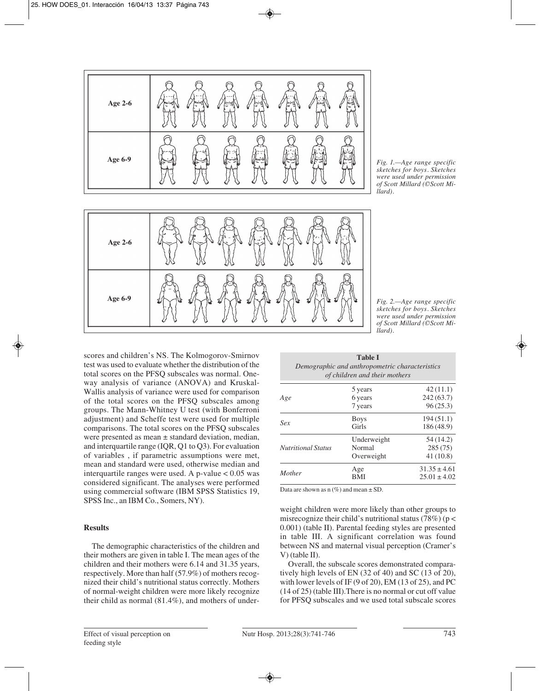

*Fig. 1.—Age range specific sketches for boys. Sketches were used under permission of Scott Millard (©Scott Millard).*

scores and children's NS. The Kolmogorov-Smirnov test was used to evaluate whether the distribution of the total scores on the PFSQ subscales was normal. Oneway analysis of variance (ANOVA) and Kruskal-Wallis analysis of variance were used for comparison of the total scores on the PFSQ subscales among groups. The Mann-Whitney U test (with Bonferroni adjustment) and Scheffe test were used for multiple comparisons. The total scores on the PFSQ subscales were presented as mean ± standard deviation, median, and interquartile range (IQR, Q1 to Q3). For evaluation of variables , if parametric assumptions were met, mean and standard were used, otherwise median and interquartile ranges were used. A p-value  $< 0.05$  was considered significant. The analyses were performed using commercial software (IBM SPSS Statistics 19, SPSS Inc., an IBM Co., Somers, NY).

# **Results**

**Age 2-6**

**Age 6-9**

The demographic characteristics of the children and their mothers are given in table I. The mean ages of the children and their mothers were 6.14 and 31.35 years, respectively. More than half (57.9%) of mothers recognized their child's nutritional status correctly. Mothers of normal-weight children were more likely recognize their child as normal (81.4%), and mothers of under*Fig. 2.—Age range specific sketches for boys. Sketches were used under permission of Scott Millard (©Scott Millard).*

| <b>Table I</b><br>Demographic and anthropometric characteristics<br>of children and their mothers |                                     |                                      |  |
|---------------------------------------------------------------------------------------------------|-------------------------------------|--------------------------------------|--|
| Age                                                                                               | 5 years<br>6 years                  | 42(11.1)<br>242(63.7)                |  |
|                                                                                                   | 7 years                             | 96(25.3)                             |  |
| Sex                                                                                               | <b>Boys</b><br>Girls                | 194(51.1)<br>186(48.9)               |  |
| Nutritional Status                                                                                | Underweight<br>Normal<br>Overweight | 54 (14.2)<br>285(75)<br>41(10.8)     |  |
| Mother                                                                                            | Age<br>BMI                          | $31.35 \pm 4.61$<br>$25.01 \pm 4.02$ |  |

Data are shown as  $n$  (%) and mean  $\pm$  SD.

weight children were more likely than other groups to misrecognize their child's nutritional status (78%) ( $p <$ 0.001) (table II). Parental feeding styles are presented in table III. A significant correlation was found between NS and maternal visual perception (Cramer's V) (table II).

Overall, the subscale scores demonstrated comparatively high levels of EN (32 of 40) and SC (13 of 20), with lower levels of IF (9 of 20), EM (13 of 25), and PC (14 of 25) (table III).There is no normal or cut off value for PFSQ subscales and we used total subscale scores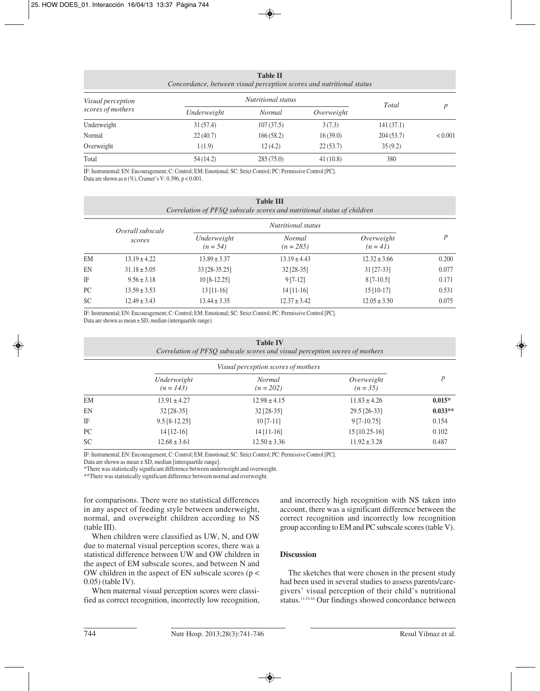| <b>Table II</b><br>Concordance, between visual perception scores and nutritional status |                    |           |            |           |         |
|-----------------------------------------------------------------------------------------|--------------------|-----------|------------|-----------|---------|
| Visual perception<br>scores of mothers                                                  | Nutritional status |           |            | Total     |         |
|                                                                                         | Underweight        | Normal    | Overweight |           |         |
| Underweight                                                                             | 31(57.4)           | 107(37.5) | 3(7.3)     | 141(37.1) |         |
| Normal                                                                                  | 22(40.7)           | 166(58.2) | 16(39.0)   | 204(53.7) | < 0.001 |
| Overweight                                                                              | 1(1.9)             | 12(4.2)   | 22(53.7)   | 35(9.2)   |         |
| Total                                                                                   | 54 (14.2)          | 285(75.0) | 41(10.8)   | 380       |         |

IF: Instrumental; EN: Encouragement; C: Control; EM: Emotional; SC: Strict Control; PC: Permissive Control [PC]. Data are shown as  $n$  (%), Cramer's V: 0.396,  $p < 0.001$ .

|           | <b>Table III</b><br>Correlation of PFSQ subscale scores and nutritional status of children |                           |                              |                          |                  |  |
|-----------|--------------------------------------------------------------------------------------------|---------------------------|------------------------------|--------------------------|------------------|--|
|           | Overall subscale<br>scores                                                                 | <i>Nutritional status</i> |                              |                          |                  |  |
|           |                                                                                            | Underweight<br>$(n = 54)$ | <b>Normal</b><br>$(n = 285)$ | Overweight<br>$(n = 41)$ | $\boldsymbol{p}$ |  |
| EM        | $13.19 \pm 4.22$                                                                           | $13.89 \pm 3.37$          | $13.19 \pm 4.43$             | $12.32 \pm 3.66$         | 0.200            |  |
| EN        | $31.18 \pm 5.05$                                                                           | 33 [28-35.25]             | $32$ [28-35]                 | $31$ [27-33]             | 0.077            |  |
| IF        | $9.56 \pm 3.18$                                                                            | $10[8-12.25]$             | $9[7-12]$                    | $8[7-10.5]$              | 0.171            |  |
| PC        | $13.59 \pm 3.53$                                                                           | $13$ [11-16]              | $14$ [11-16]                 | $15$ [10-17]             | 0.531            |  |
| <b>SC</b> | $12.49 \pm 3.43$                                                                           | $13.44 \pm 3.35$          | $12.37 \pm 3.42$             | $12.05 \pm 3.50$         | 0.075            |  |

IF: Instrumental; EN: Encouragement; C: Control; EM: Emotional; SC: Strict Control; PC: Permissive Control [PC].

Data are shown as mean ± SD, median (interquartile range).

|    | <b>Table IV</b><br>Correlation of PFSQ subscale scores and visual perception socres of mothers |                              |                          |                  |
|----|------------------------------------------------------------------------------------------------|------------------------------|--------------------------|------------------|
|    | Visual perception scores of mothers                                                            |                              |                          |                  |
|    | Underweight<br>$(n = 143)$                                                                     | <b>Normal</b><br>$(n = 202)$ | Overweight<br>$(n = 35)$ | $\boldsymbol{p}$ |
| EМ | $13.91 \pm 4.27$                                                                               | $12.98 \pm 4.15$             | $11.83 \pm 4.26$         | $0.015*$         |
| EN | $32$ [28-35]                                                                                   | $32$ [28-35]                 | 29.5 [26-33]             | $0.033**$        |
| IF | $9.5$ [8-12.25]                                                                                | $10[7-11]$                   | $9[7-10.75]$             | 0.154            |
| PС | $14$ [12-16]                                                                                   | $14$ [11-16]                 | $15$ [10.25-16]          | 0.102            |
| SC | $12.68 \pm 3.61$                                                                               | $12.50 \pm 3.36$             | $11.92 \pm 3.28$         | 0.487            |

IF: Instrumental; EN: Encouragement; C: Control; EM: Emotional; SC: Strict Control; PC: Permissive Control [PC].

Data are shown as mean ± SD, median [interquartile range].

\*There was statistically significant difference between underweight and overweight.

\*\*There was statistically significant difference between normal and overweight.

for comparisons. There were no statistical differences in any aspect of feeding style between underweight, normal, and overweight children according to NS (table III).

When children were classified as UW, N, and OW due to maternal visual perception scores, there was a statistical difference between UW and OW children in the aspect of EM subscale scores, and between N and OW children in the aspect of EN subscale scores ( $p <$ 0.05) (table IV).

When maternal visual perception scores were classified as correct recognition, incorrectly low recognition, and incorrectly high recognition with NS taken into account, there was a significant difference between the correct recognition and incorrectly low recognition group according to EM and PC subscale scores (table V).

## **Discussion**

The sketches that were chosen in the present study had been used in several studies to assess parents/caregivers' visual perception of their child's nutritional status.<sup>11,15,16</sup> Our findings showed concordance between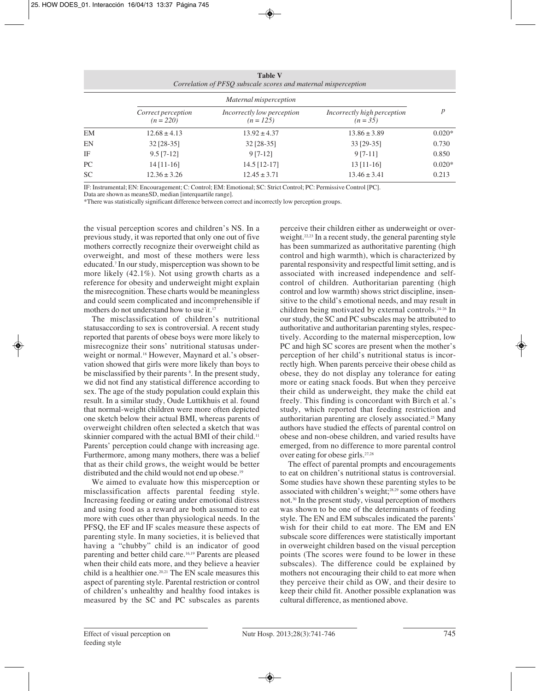|           | <b>Table V</b><br>Correlation of PFSQ subscale scores and maternal misperception |                                           |                                           |                  |  |
|-----------|----------------------------------------------------------------------------------|-------------------------------------------|-------------------------------------------|------------------|--|
|           | Maternal misperception                                                           |                                           |                                           |                  |  |
|           | Correct perception<br>$(n=220)$                                                  | Incorrectly low perception<br>$(n = 125)$ | Incorrectly high perception<br>$(n = 35)$ | $\boldsymbol{p}$ |  |
| EM        | $12.68 \pm 4.13$                                                                 | $13.92 \pm 4.37$                          | $13.86 \pm 3.89$                          | $0.020*$         |  |
| EN        | $32$ [28-35]                                                                     | $32$ [28-35]                              | 33 [29-35]                                | 0.730            |  |
| IF        | $9.5$ [7-12]                                                                     | $9 [7-12]$                                | $9[7-11]$                                 | 0.850            |  |
| PC        | $14$ [11-16]                                                                     | $14.5$ [12-17]                            | $13$ [11-16]                              | $0.020*$         |  |
| <b>SC</b> | $12.36 \pm 3.26$                                                                 | $12.45 \pm 3.71$                          | $13.46 \pm 3.41$                          | 0.213            |  |

IF: Instrumental; EN: Encouragement; C: Control; EM: Emotional; SC: Strict Control; PC: Permissive Control [PC].

Data are shown as mean±SD, median [interquartile range].

\*There was statistically significant difference between correct and incorrectly low perception groups.

the visual perception scores and children's NS. In a previous study, it was reported that only one out of five mothers correctly recognize their overweight child as overweight, and most of these mothers were less educated.7 In our study, misperception was shown to be more likely (42.1%). Not using growth charts as a reference for obesity and underweight might explain the misrecognition. These charts would be meaningless and could seem complicated and incomprehensible if mothers do not understand how to use it.<sup>17</sup>

The misclassification of children's nutritional statusaccording to sex is controversial. A recent study reported that parents of obese boys were more likely to misrecognize their sons' nutritional statusas underweight or normal.<sup>18</sup> However, Maynard et al.'s observation showed that girls were more likely than boys to be misclassified by their parents  $\delta$ . In the present study, we did not find any statistical difference according to sex. The age of the study population could explain this result. In a similar study, Oude Luttikhuis et al. found that normal-weight children were more often depicted one sketch below their actual BMI, whereas parents of overweight children often selected a sketch that was skinnier compared with the actual BMI of their child.<sup>11</sup> Parents' perception could change with increasing age. Furthermore, among many mothers, there was a belief that as their child grows, the weight would be better distributed and the child would not end up obese.<sup>19</sup>

We aimed to evaluate how this misperception or misclassification affects parental feeding style. Increasing feeding or eating under emotional distress and using food as a reward are both assumed to eat more with cues other than physiological needs. In the PFSQ, the EF and IF scales measure these aspects of parenting style. In many societies, it is believed that having a "chubby" child is an indicator of good parenting and better child care.16,19 Parents are pleased when their child eats more, and they believe a heavier child is a healthier one.<sup>20,21</sup> The EN scale measures this aspect of parenting style. Parental restriction or control of children's unhealthy and healthy food intakes is measured by the SC and PC subscales as parents perceive their children either as underweight or overweight.<sup>22,23</sup> In a recent study, the general parenting style has been summarized as authoritative parenting (high control and high warmth), which is characterized by parental responsivity and respectful limit setting, and is associated with increased independence and selfcontrol of children. Authoritarian parenting (high control and low warmth) shows strict discipline, insensitive to the child's emotional needs, and may result in children being motivated by external controls.24-26 In our study, the SC and PC subscales may be attributed to authoritative and authoritarian parenting styles, respectively. According to the maternal misperception, low PC and high SC scores are present when the mother's perception of her child's nutritional status is incorrectly high. When parents perceive their obese child as obese, they do not display any tolerance for eating more or eating snack foods. But when they perceive their child as underweight, they make the child eat freely. This finding is concordant with Birch et al.'s study, which reported that feeding restriction and authoritarian parenting are closely associated.25 Many authors have studied the effects of parental control on obese and non-obese children, and varied results have emerged, from no difference to more parental control over eating for obese girls.27,28

The effect of parental prompts and encouragements to eat on children's nutritional status is controversial. Some studies have shown these parenting styles to be associated with children's weight;28,29 some others have not.30 In the present study, visual perception of mothers was shown to be one of the determinants of feeding style. The EN and EM subscales indicated the parents' wish for their child to eat more. The EM and EN subscale score differences were statistically important in overweight children based on the visual perception points (The scores were found to be lower in these subscales). The difference could be explained by mothers not encouraging their child to eat more when they perceive their child as OW, and their desire to keep their child fit. Another possible explanation was cultural difference, as mentioned above.